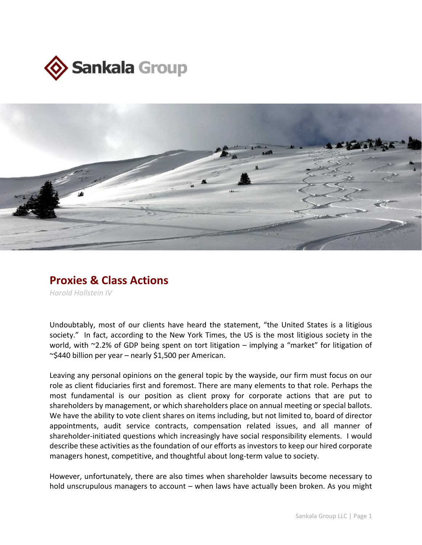



## **Proxies & Class Actions**

*Harold Hallstein IV*

Undoubtably, most of our clients have heard the statement, "the United States is a litigious society." In fact, according to the New York Times, the US is the most litigious society in the world, with ~2.2% of GDP being spent on tort litigation – implying a "market" for litigation of ~\$440 billion per year – nearly \$1,500 per American.

Leaving any personal opinions on the general topic by the wayside, our firm must focus on our role as client fiduciaries first and foremost. There are many elements to that role. Perhaps the most fundamental is our position as client proxy for corporate actions that are put to shareholders by management, or which shareholders place on annual meeting or special ballots. We have the ability to vote client shares on items including, but not limited to, board of director appointments, audit service contracts, compensation related issues, and all manner of shareholder-initiated questions which increasingly have social responsibility elements. I would describe these activities as the foundation of our efforts as investors to keep our hired corporate managers honest, competitive, and thoughtful about long-term value to society.

However, unfortunately, there are also times when shareholder lawsuits become necessary to hold unscrupulous managers to account – when laws have actually been broken. As you might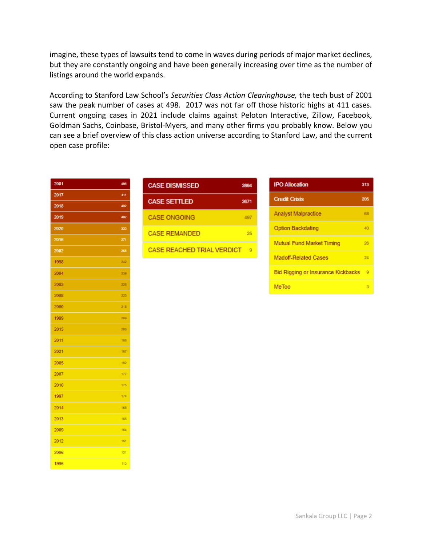imagine, these types of lawsuits tend to come in waves during periods of major market declines, but they are constantly ongoing and have been generally increasing over time as the number of listings around the world expands.

According to Stanford Law School's *Securities Class Action Clearinghouse,* the tech bust of 2001 saw the peak number of cases at 498. 2017 was not far off those historic highs at 411 cases. Current ongoing cases in 2021 include claims against Peloton Interactive, Zillow, Facebook, Goldman Sachs, Coinbase, Bristol-Myers, and many other firms you probably know. Below you can see a brief overview of this class action universe according to Stanford Law, and the current open case profile:

| 2001 | 498 |
|------|-----|
| 2017 | 411 |
| 2018 | 402 |
| 2019 | 402 |
| 2020 | 320 |
| 2016 | 271 |
| 2002 | 265 |
| 1998 | 242 |
| 2004 | 239 |
| 2003 | 228 |
| 2008 | 223 |
| 2000 | 216 |
| 1999 | 209 |
| 2015 | 208 |
| 2011 | 188 |
| 2021 | 187 |
| 2005 | 182 |
| 2007 | 177 |
| 2010 | 175 |
| 1997 | 174 |
| 2014 | 168 |
| 2013 | 165 |
| 2009 | 164 |
| 2012 | 151 |
| 2006 | 121 |
| 1996 | 110 |

| <b>CASE DISMISSED</b>      | 2894 |
|----------------------------|------|
| <b>CASE SETTLED</b>        | 2671 |
| CASE ONGOING               | 497  |
| <b>CASE REMANDED</b>       | 25   |
| CASE REACHED TRIAL VERDICT |      |

| <b>IPO Allocation</b>              | 313 |
|------------------------------------|-----|
| <b>Credit Crisis</b>               | 206 |
| <b>Analyst Malpractice</b>         | 68  |
| Option Backdating                  | đ۵  |
| <b>Mutual Fund Market Timing</b>   | 26  |
| <b>Madoff-Related Cases</b>        | 24  |
| Bid Rigging or Insurance Kickbacks | 9   |
| MeToo                              |     |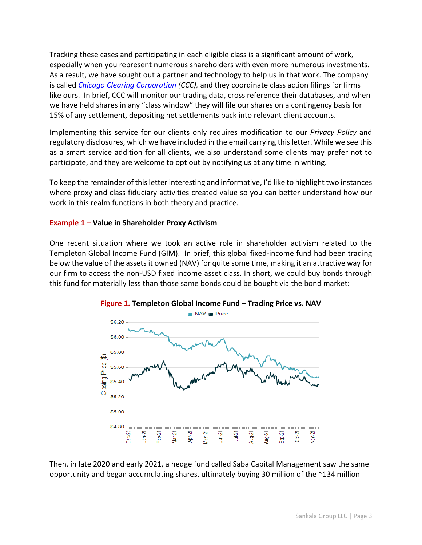Tracking these cases and participating in each eligible class is a significant amount of work, especially when you represent numerous shareholders with even more numerous investments. As a result, we have sought out a partner and technology to help us in that work. The company is called *Chicago [Clearing Corporation](https://chicagoclearing.com/) (CCC),* and they coordinate class action filings for firms like ours. In brief, CCC will monitor our trading data, cross reference their databases, and when we have held shares in any "class window" they will file our shares on a contingency basis for 15% of any settlement, depositing net settlements back into relevant client accounts.

Implementing this service for our clients only requires modification to our *Privacy Policy* and regulatory disclosures, which we have included in the email carrying this letter. While we see this as a smart service addition for all clients, we also understand some clients may prefer not to participate, and they are welcome to opt out by notifying us at any time in writing.

To keep the remainder of thisletter interesting and informative, I'd like to highlight two instances where proxy and class fiduciary activities created value so you can better understand how our work in this realm functions in both theory and practice.

## **Example 1 – Value in Shareholder Proxy Activism**

One recent situation where we took an active role in shareholder activism related to the Templeton Global Income Fund (GIM). In brief, this global fixed-income fund had been trading below the value of the assets it owned (NAV) for quite some time, making it an attractive way for our firm to access the non-USD fixed income asset class. In short, we could buy bonds through this fund for materially less than those same bonds could be bought via the bond market:





Then, in late 2020 and early 2021, a hedge fund called Saba Capital Management saw the same opportunity and began accumulating shares, ultimately buying 30 million of the ~134 million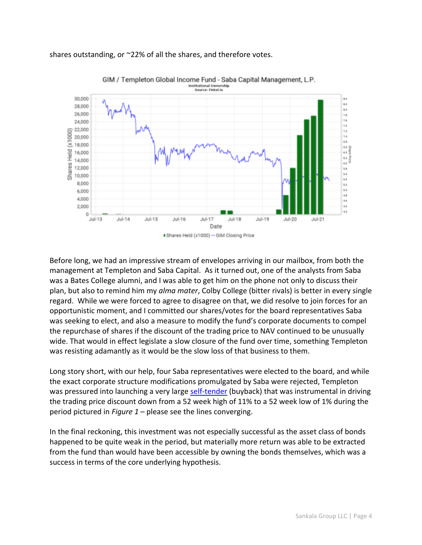

shares outstanding, or ~22% of all the shares, and therefore votes.

Before long, we had an impressive stream of envelopes arriving in our mailbox, from both the management at Templeton and Saba Capital. As it turned out, one of the analysts from Saba was a Bates College alumni, and I was able to get him on the phone not only to discuss their plan, but also to remind him my *alma mater*, Colby College (bitter rivals) is better in every single regard. While we were forced to agree to disagree on that, we did resolve to join forces for an opportunistic moment, and I committed our shares/votes for the board representatives Saba was seeking to elect, and also a measure to modify the fund's corporate documents to compel the repurchase of shares if the discount of the trading price to NAV continued to be unusually wide. That would in effect legislate a slow closure of the fund over time, something Templeton was resisting adamantly as it would be the slow loss of that business to them.

Long story short, with our help, four Saba representatives were elected to the board, and while the exact corporate structure modifications promulgated by Saba were rejected, Templeton was pressured into launching a very large [self-tender](https://www.businesswire.com/news/home/20211208005476/en/Templeton-Global-Income-Fund-%E2%80%9CGIM%E2%80%9D-Announces-Expiration-of-Self-Tender-Offer) (buyback) that was instrumental in driving the trading price discount down from a 52 week high of 11% to a 52 week low of 1% during the period pictured in *Figure 1* – please see the lines converging.

In the final reckoning, this investment was not especially successful as the asset class of bonds happened to be quite weak in the period, but materially more return was able to be extracted from the fund than would have been accessible by owning the bonds themselves, which was a success in terms of the core underlying hypothesis.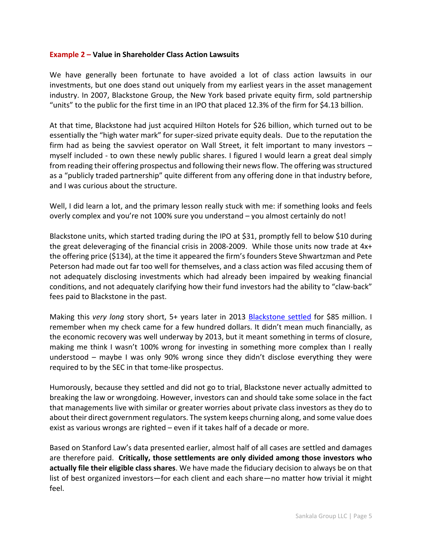## **Example 2 – Value in Shareholder Class Action Lawsuits**

We have generally been fortunate to have avoided a lot of class action lawsuits in our investments, but one does stand out uniquely from my earliest years in the asset management industry. In 2007, Blackstone Group, the New York based private equity firm, sold partnership "units" to the public for the first time in an IPO that placed 12.3% of the firm for \$4.13 billion.

At that time, Blackstone had just acquired Hilton Hotels for \$26 billion, which turned out to be essentially the "high water mark" for super-sized private equity deals. Due to the reputation the firm had as being the savviest operator on Wall Street, it felt important to many investors – myself included - to own these newly public shares. I figured I would learn a great deal simply from reading their offering prospectus and following their news flow. The offering was structured as a "publicly traded partnership" quite different from any offering done in that industry before, and I was curious about the structure.

Well, I did learn a lot, and the primary lesson really stuck with me: if something looks and feels overly complex and you're not 100% sure you understand – you almost certainly do not!

Blackstone units, which started trading during the IPO at \$31, promptly fell to below \$10 during the great deleveraging of the financial crisis in 2008-2009. While those units now trade at 4x+ the offering price (\$134), at the time it appeared the firm's founders Steve Shwartzman and Pete Peterson had made out far too well for themselves, and a class action was filed accusing them of not adequately disclosing investments which had already been impaired by weaking financial conditions, and not adequately clarifying how their fund investors had the ability to "claw-back" fees paid to Blackstone in the past.

Making this *very long* story short, 5+ years later in 2013 [Blackstone settled](https://www.reuters.com/article/us-blackstone-lawsuit/blackstone-to-pay-85-million-to-settle-lawsuit-over-ipo-idUSBRE97S0NA20130829) for \$85 million. I remember when my check came for a few hundred dollars. It didn't mean much financially, as the economic recovery was well underway by 2013, but it meant something in terms of closure, making me think I wasn't 100% wrong for investing in something more complex than I really understood – maybe I was only 90% wrong since they didn't disclose everything they were required to by the SEC in that tome-like prospectus.

Humorously, because they settled and did not go to trial, Blackstone never actually admitted to breaking the law or wrongdoing. However, investors can and should take some solace in the fact that managements live with similar or greater worries about private class investors as they do to about their direct government regulators. The system keeps churning along, and some value does exist as various wrongs are righted – even if it takes half of a decade or more.

Based on Stanford Law's data presented earlier, almost half of all cases are settled and damages are therefore paid. **Critically, those settlements are only divided among those investors who actually file their eligible class shares**. We have made the fiduciary decision to always be on that list of best organized investors—for each client and each share—no matter how trivial it might feel.